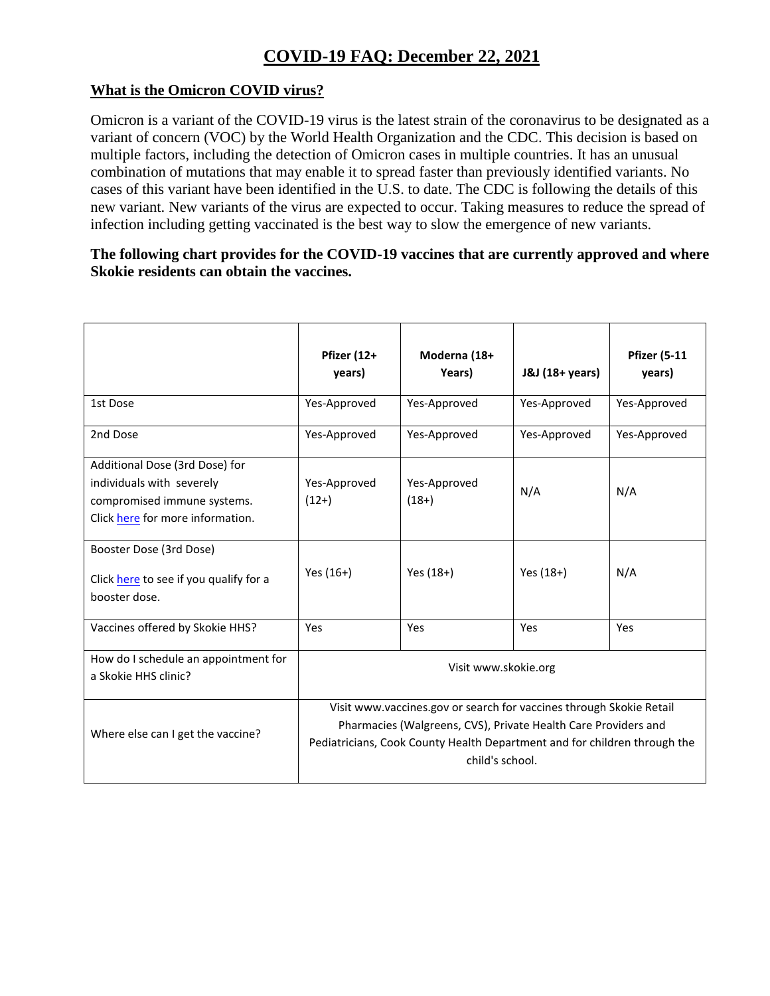## **COVID-19 FAQ: December 22, 2021**

## **What is the Omicron COVID virus?**

Omicron is a variant of the COVID-19 virus is the latest strain of the coronavirus to be designated as a variant of concern (VOC) by the World Health Organization and the CDC. This decision is based on multiple factors, including the detection of Omicron cases in multiple countries. It has an unusual combination of mutations that may enable it to spread faster than previously identified variants. No cases of this variant have been identified in the U.S. to date. The CDC is following the details of this new variant. New variants of the virus are expected to occur. Taking measures to reduce the spread of infection including getting vaccinated is the best way to slow the emergence of new variants.

## **The following chart provides for the COVID-19 vaccines that are currently approved and where Skokie residents can obtain the vaccines.**

|                                                                                                                                | Pfizer (12+<br>years)                                                                                                                                                                                                                 | Moderna (18+<br>Years)  | J&J (18+ years) | <b>Pfizer (5-11</b><br>years) |
|--------------------------------------------------------------------------------------------------------------------------------|---------------------------------------------------------------------------------------------------------------------------------------------------------------------------------------------------------------------------------------|-------------------------|-----------------|-------------------------------|
| 1st Dose                                                                                                                       | Yes-Approved                                                                                                                                                                                                                          | Yes-Approved            | Yes-Approved    | Yes-Approved                  |
| 2nd Dose                                                                                                                       | Yes-Approved                                                                                                                                                                                                                          | Yes-Approved            | Yes-Approved    | Yes-Approved                  |
| Additional Dose (3rd Dose) for<br>individuals with severely<br>compromised immune systems.<br>Click here for more information. | Yes-Approved<br>$(12+)$                                                                                                                                                                                                               | Yes-Approved<br>$(18+)$ | N/A             | N/A                           |
| Booster Dose (3rd Dose)<br>Click here to see if you qualify for a<br>booster dose.                                             | Yes (16+)                                                                                                                                                                                                                             | Yes (18+)               | Yes (18+)       | N/A                           |
| Vaccines offered by Skokie HHS?                                                                                                | <b>Yes</b>                                                                                                                                                                                                                            | <b>Yes</b>              | Yes             | Yes                           |
| How do I schedule an appointment for<br>a Skokie HHS clinic?                                                                   | Visit www.skokie.org                                                                                                                                                                                                                  |                         |                 |                               |
| Where else can I get the vaccine?                                                                                              | Visit www.vaccines.gov or search for vaccines through Skokie Retail<br>Pharmacies (Walgreens, CVS), Private Health Care Providers and<br>Pediatricians, Cook County Health Department and for children through the<br>child's school. |                         |                 |                               |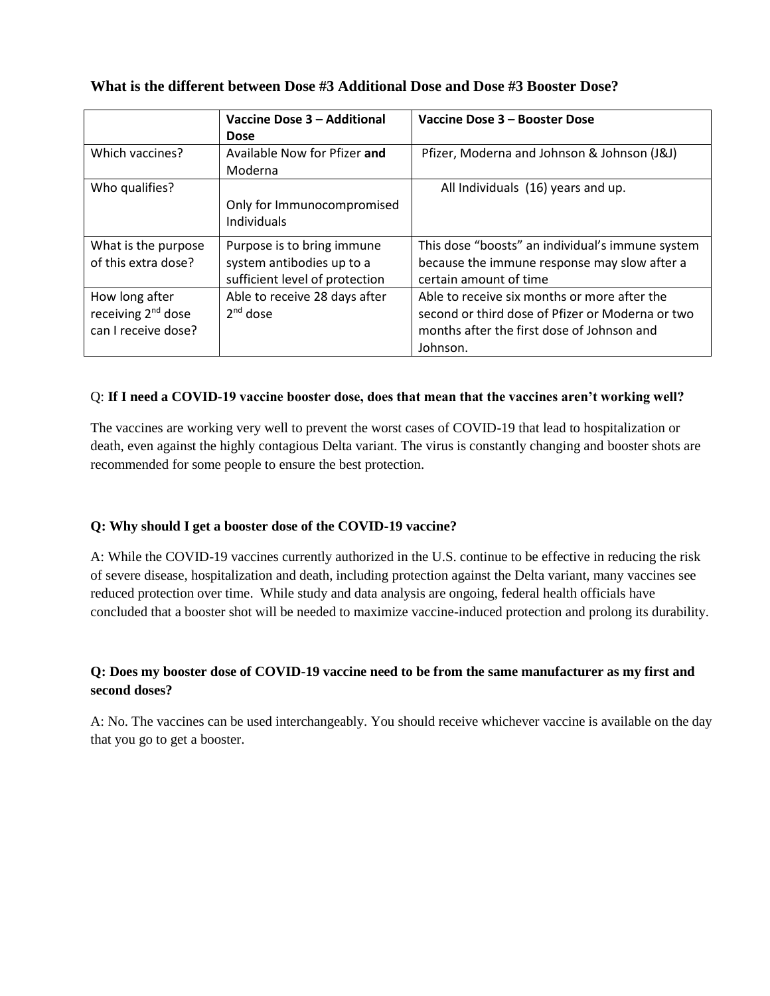|  | What is the different between Dose #3 Additional Dose and Dose #3 Booster Dose? |  |  |  |
|--|---------------------------------------------------------------------------------|--|--|--|
|--|---------------------------------------------------------------------------------|--|--|--|

|                                | Vaccine Dose 3 - Additional    | Vaccine Dose 3 - Booster Dose                    |
|--------------------------------|--------------------------------|--------------------------------------------------|
|                                | <b>Dose</b>                    |                                                  |
| Which vaccines?                | Available Now for Pfizer and   | Pfizer, Moderna and Johnson & Johnson (J&J)      |
|                                | Moderna                        |                                                  |
| Who qualifies?                 |                                | All Individuals (16) years and up.               |
|                                | Only for Immunocompromised     |                                                  |
|                                | Individuals                    |                                                  |
| What is the purpose            | Purpose is to bring immune     | This dose "boosts" an individual's immune system |
| of this extra dose?            | system antibodies up to a      | because the immune response may slow after a     |
|                                | sufficient level of protection | certain amount of time                           |
| How long after                 | Able to receive 28 days after  | Able to receive six months or more after the     |
| receiving 2 <sup>nd</sup> dose | $2nd$ dose                     | second or third dose of Pfizer or Moderna or two |
| can I receive dose?            |                                | months after the first dose of Johnson and       |
|                                |                                | Johnson.                                         |

#### Q: **If I need a COVID-19 vaccine booster dose, does that mean that the vaccines aren't working well?**

The vaccines are working very well to prevent the worst cases of COVID-19 that lead to hospitalization or death, even against the highly contagious Delta variant. The virus is constantly changing and booster shots are recommended for some people to ensure the best protection.

#### **Q: Why should I get a booster dose of the COVID-19 vaccine?**

A: While the COVID-19 vaccines currently authorized in the U.S. continue to be effective in reducing the risk of severe disease, hospitalization and death, including protection against the Delta variant, many vaccines see reduced protection over time. While study and data analysis are ongoing, federal health officials have concluded that a booster shot will be needed to maximize vaccine-induced protection and prolong its durability.

## **Q: Does my booster dose of COVID-19 vaccine need to be from the same manufacturer as my first and second doses?**

A: No. The vaccines can be used interchangeably. You should receive whichever vaccine is available on the day that you go to get a booster.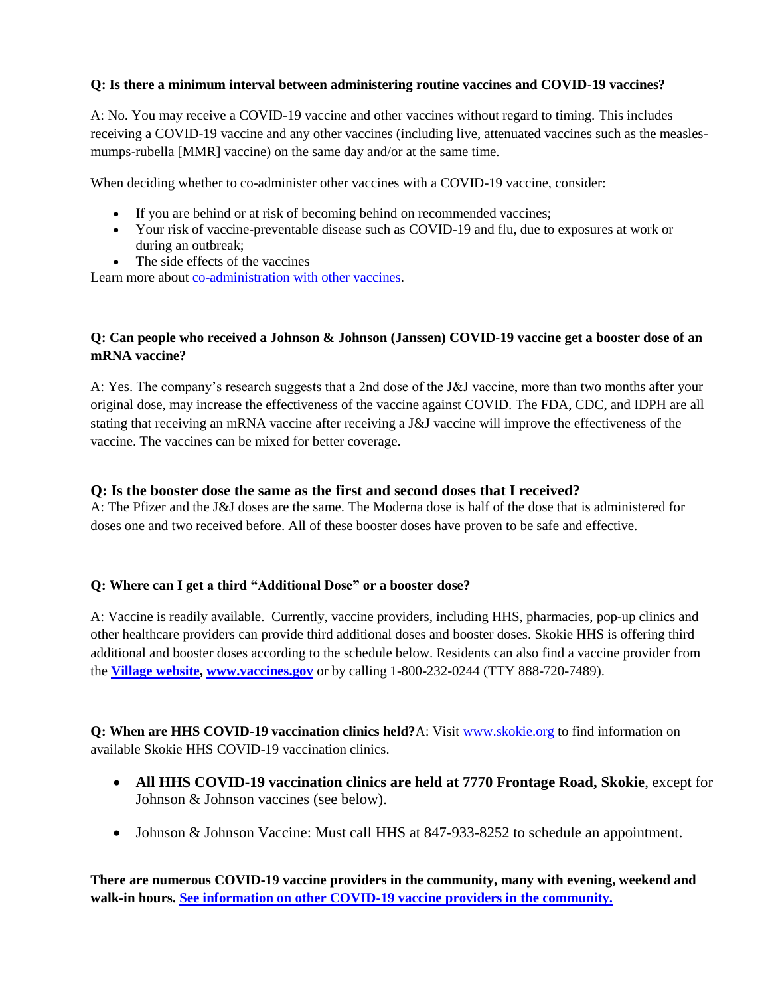#### **Q: Is there a minimum interval between administering routine vaccines and COVID-19 vaccines?**

A: No. You may receive a COVID-19 vaccine and other vaccines without regard to timing. This includes receiving a COVID-19 vaccine and any other vaccines (including live, attenuated vaccines such as the measlesmumps-rubella [MMR] vaccine) on the same day and/or at the same time.

When deciding whether to co-administer other vaccines with a COVID-19 vaccine, consider:

- If you are behind or at risk of becoming behind on recommended vaccines;
- Your risk of vaccine-preventable disease such as COVID-19 and flu, due to exposures at work or during an outbreak;
- The side effects of the vaccines

Learn more about [co-administration with other vaccines.](https://www.cdc.gov/vaccines/covid-19/clinical-considerations/covid-19-vaccines-us.html?CDC_AA_refVal=https%3A%2F%2Fwww.cdc.gov%2Fvaccines%2Fcovid-19%2Finfo-by-product%2Fclinical-considerations.html#Coadministration)

#### **Q: Can people who received a Johnson & Johnson (Janssen) COVID-19 vaccine get a booster dose of an mRNA vaccine?**

A: Yes. The company's research suggests that a 2nd dose of the J&J vaccine, more than two months after your original dose, may increase the effectiveness of the vaccine against COVID. The FDA, CDC, and IDPH are all stating that receiving an mRNA vaccine after receiving a J&J vaccine will improve the effectiveness of the vaccine. The vaccines can be mixed for better coverage.

#### **Q: Is the booster dose the same as the first and second doses that I received?**

A: The Pfizer and the J&J doses are the same. The Moderna dose is half of the dose that is administered for doses one and two received before. All of these booster doses have proven to be safe and effective.

#### **Q: Where can I get a third "Additional Dose" or a booster dose?**

A: Vaccine is readily available. Currently, vaccine providers, including HHS, pharmacies, pop-up clinics and other healthcare providers can provide third additional doses and booster doses. Skokie HHS is offering third additional and booster doses according to the schedule below. Residents can also find a vaccine provider from the **[Village website,](https://www.skokie.org/1103/Updates) [www.vaccines.gov](https://www.vaccines.gov/)** or by calling 1-800-232-0244 (TTY 888-720-7489).

**Q: When are HHS COVID-19 vaccination clinics held?**A: Visit [www.skokie.org](http://www.skokie.org/) to find information on available Skokie HHS COVID-19 vaccination clinics.

- **All HHS COVID-19 vaccination clinics are held at 7770 Frontage Road, Skokie**, except for Johnson & Johnson vaccines (see below).
- Johnson & Johnson Vaccine: Must call HHS at 847-933-8252 to schedule an appointment.

**There are numerous COVID-19 vaccine providers in the community, many with evening, weekend and walk-in hours. [See information on other COVID-19 vaccine providers in the community.](https://www.skokie.org/1103/Updates)**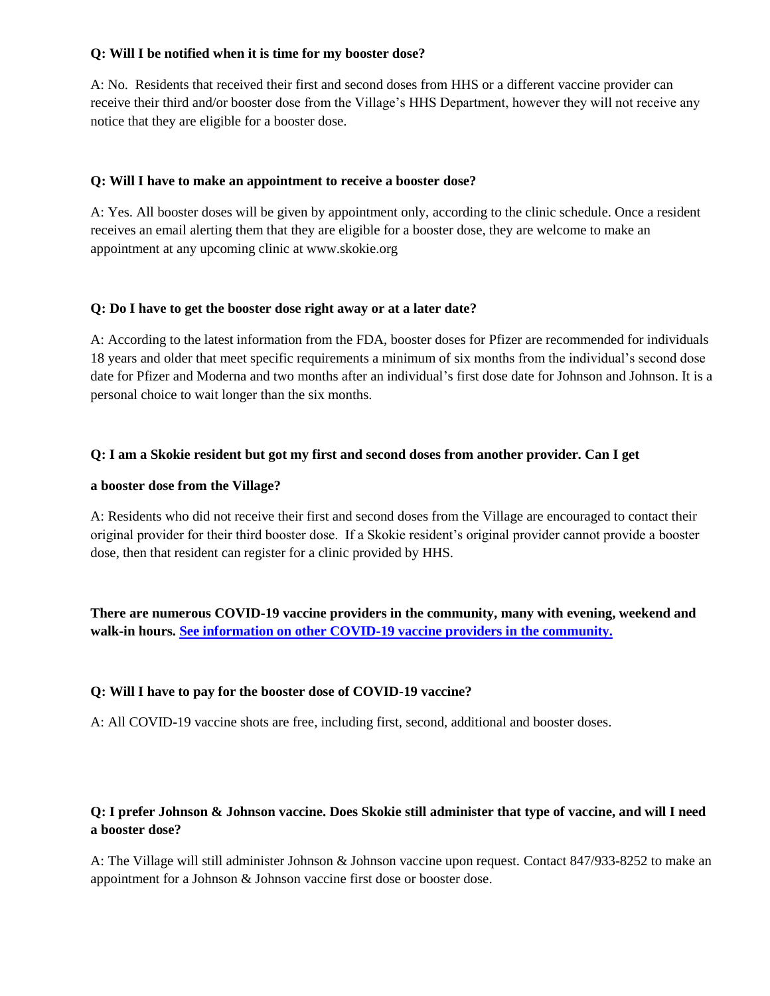#### **Q: Will I be notified when it is time for my booster dose?**

A: No. Residents that received their first and second doses from HHS or a different vaccine provider can receive their third and/or booster dose from the Village's HHS Department, however they will not receive any notice that they are eligible for a booster dose.

#### **Q: Will I have to make an appointment to receive a booster dose?**

A: Yes. All booster doses will be given by appointment only, according to the clinic schedule. Once a resident receives an email alerting them that they are eligible for a booster dose, they are welcome to make an appointment at any upcoming clinic at www.skokie.org

#### **Q: Do I have to get the booster dose right away or at a later date?**

A: According to the latest information from the FDA, booster doses for Pfizer are recommended for individuals 18 years and older that meet specific requirements a minimum of six months from the individual's second dose date for Pfizer and Moderna and two months after an individual's first dose date for Johnson and Johnson. It is a personal choice to wait longer than the six months.

#### **Q: I am a Skokie resident but got my first and second doses from another provider. Can I get**

#### **a booster dose from the Village?**

A: Residents who did not receive their first and second doses from the Village are encouraged to contact their original provider for their third booster dose. If a Skokie resident's original provider cannot provide a booster dose, then that resident can register for a clinic provided by HHS.

**There are numerous COVID-19 vaccine providers in the community, many with evening, weekend and walk-in hours. [See information on other COVID-19](https://www.skokie.org/1103/Updates) vaccine providers in the community.**

#### **Q: Will I have to pay for the booster dose of COVID-19 vaccine?**

A: All COVID-19 vaccine shots are free, including first, second, additional and booster doses.

## **Q: I prefer Johnson & Johnson vaccine. Does Skokie still administer that type of vaccine, and will I need a booster dose?**

A: The Village will still administer Johnson & Johnson vaccine upon request. Contact 847/933-8252 to make an appointment for a Johnson & Johnson vaccine first dose or booster dose.